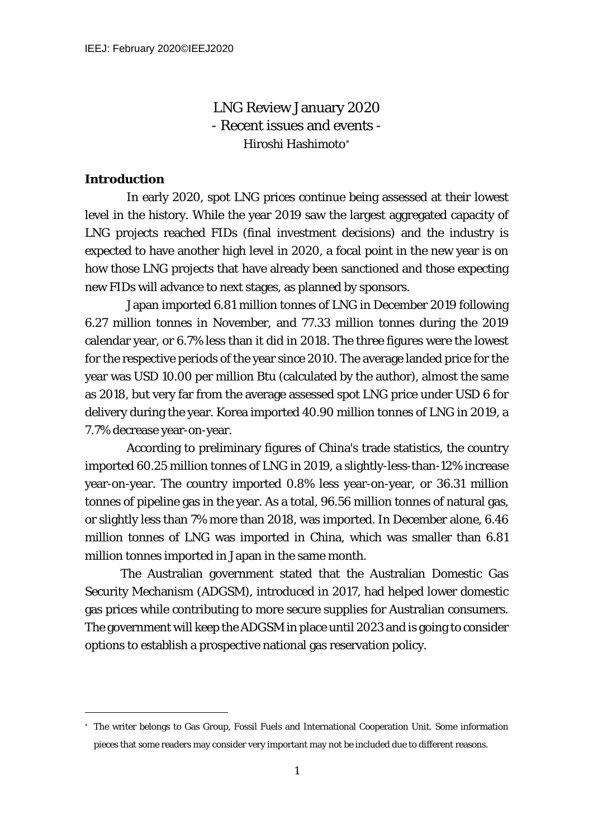LNG Review January 2020 - Recent issues and events - Hiroshi Hashimoto[∗](#page-0-0)

# **Introduction**

In early 2020, spot LNG prices continue being assessed at their lowest level in the history. While the year 2019 saw the largest aggregated capacity of LNG projects reached FIDs (final investment decisions) and the industry is expected to have another high level in 2020, a focal point in the new year is on how those LNG projects that have already been sanctioned and those expecting new FIDs will advance to next stages, as planned by sponsors.

Japan imported 6.81 million tonnes of LNG in December 2019 following 6.27 million tonnes in November, and 77.33 million tonnes during the 2019 calendar year, or 6.7% less than it did in 2018. The three figures were the lowest for the respective periods of the year since 2010. The average landed price for the year was USD 10.00 per million Btu (calculated by the author), almost the same as 2018, but very far from the average assessed spot LNG price under USD 6 for delivery during the year. Korea imported 40.90 million tonnes of LNG in 2019, a 7.7% decrease year-on-year.

According to preliminary figures of China's trade statistics, the country imported 60.25 million tonnes of LNG in 2019, a slightly-less-than-12% increase year-on-year. The country imported 0.8% less year-on-year, or 36.31 million tonnes of pipeline gas in the year. As a total, 96.56 million tonnes of natural gas, or slightly less than 7% more than 2018, was imported. In December alone, 6.46 million tonnes of LNG was imported in China, which was smaller than 6.81 million tonnes imported in Japan in the same month.

The Australian government stated that the Australian Domestic Gas Security Mechanism (ADGSM), introduced in 2017, had helped lower domestic gas prices while contributing to more secure supplies for Australian consumers. The government will keep the ADGSM in place until 2023 and is going to consider options to establish a prospective national gas reservation policy.

<span id="page-0-0"></span><sup>∗</sup> The writer belongs to Gas Group, Fossil Fuels and International Cooperation Unit. Some information pieces that some readers may consider very important may not be included due to different reasons.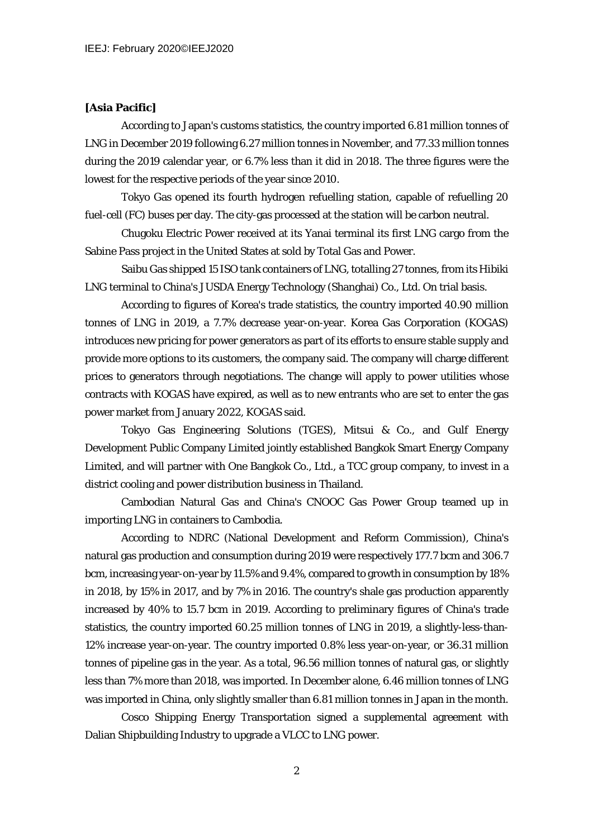### **[Asia Pacific]**

According to Japan's customs statistics, the country imported 6.81 million tonnes of LNG in December 2019 following 6.27 million tonnes in November, and 77.33 million tonnes during the 2019 calendar year, or 6.7% less than it did in 2018. The three figures were the lowest for the respective periods of the year since 2010.

Tokyo Gas opened its fourth hydrogen refuelling station, capable of refuelling 20 fuel-cell (FC) buses per day. The city-gas processed at the station will be carbon neutral.

Chugoku Electric Power received at its Yanai terminal its first LNG cargo from the Sabine Pass project in the United States at sold by Total Gas and Power.

Saibu Gas shipped 15 ISO tank containers of LNG, totalling 27 tonnes, from its Hibiki LNG terminal to China's JUSDA Energy Technology (Shanghai) Co., Ltd. On trial basis.

According to figures of Korea's trade statistics, the country imported 40.90 million tonnes of LNG in 2019, a 7.7% decrease year-on-year. Korea Gas Corporation (KOGAS) introduces new pricing for power generators as part of its efforts to ensure stable supply and provide more options to its customers, the company said. The company will charge different prices to generators through negotiations. The change will apply to power utilities whose contracts with KOGAS have expired, as well as to new entrants who are set to enter the gas power market from January 2022, KOGAS said.

Tokyo Gas Engineering Solutions (TGES), Mitsui & Co., and Gulf Energy Development Public Company Limited jointly established Bangkok Smart Energy Company Limited, and will partner with One Bangkok Co., Ltd., a TCC group company, to invest in a district cooling and power distribution business in Thailand.

Cambodian Natural Gas and China's CNOOC Gas Power Group teamed up in importing LNG in containers to Cambodia.

According to NDRC (National Development and Reform Commission), China's natural gas production and consumption during 2019 were respectively 177.7 bcm and 306.7 bcm, increasing year-on-year by 11.5% and 9.4%, compared to growth in consumption by 18% in 2018, by 15% in 2017, and by 7% in 2016. The country's shale gas production apparently increased by 40% to 15.7 bcm in 2019. According to preliminary figures of China's trade statistics, the country imported 60.25 million tonnes of LNG in 2019, a slightly-less-than-12% increase year-on-year. The country imported 0.8% less year-on-year, or 36.31 million tonnes of pipeline gas in the year. As a total, 96.56 million tonnes of natural gas, or slightly less than 7% more than 2018, was imported. In December alone, 6.46 million tonnes of LNG was imported in China, only slightly smaller than 6.81 million tonnes in Japan in the month.

Cosco Shipping Energy Transportation signed a supplemental agreement with Dalian Shipbuilding Industry to upgrade a VLCC to LNG power.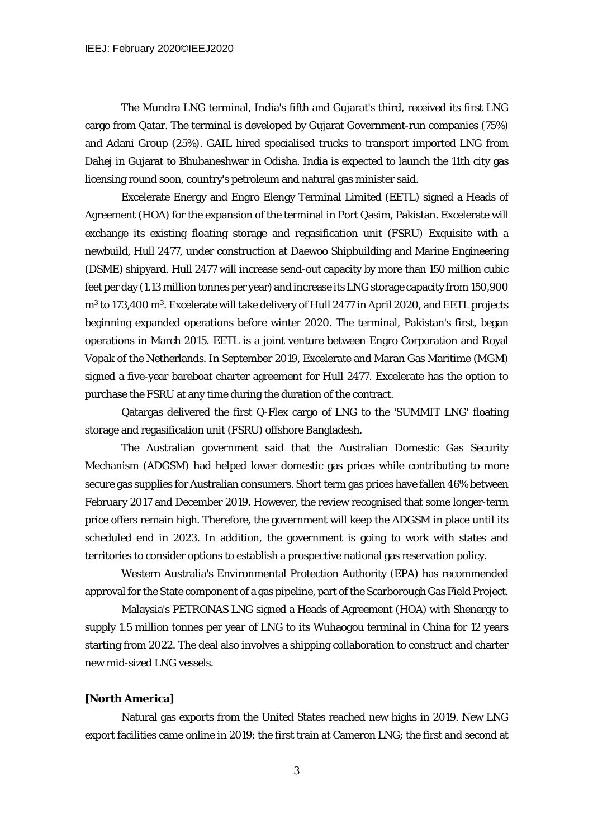The Mundra LNG terminal, India's fifth and Gujarat's third, received its first LNG cargo from Qatar. The terminal is developed by Gujarat Government-run companies (75%) and Adani Group (25%). GAIL hired specialised trucks to transport imported LNG from Dahej in Gujarat to Bhubaneshwar in Odisha. India is expected to launch the 11th city gas licensing round soon, country's petroleum and natural gas minister said.

Excelerate Energy and Engro Elengy Terminal Limited (EETL) signed a Heads of Agreement (HOA) for the expansion of the terminal in Port Qasim, Pakistan. Excelerate will exchange its existing floating storage and regasification unit (FSRU) *Exquisite* with a newbuild, *Hull 2477*, under construction at Daewoo Shipbuilding and Marine Engineering (DSME) shipyard. *Hull 2477* will increase send-out capacity by more than 150 million cubic feet per day (1.13 million tonnes per year) and increase its LNG storage capacity from 150,900 m3 to 173,400 m3. Excelerate will take delivery of *Hull 2477* in April 2020, and EETL projects beginning expanded operations before winter 2020. The terminal, Pakistan's first, began operations in March 2015. EETL is a joint venture between Engro Corporation and Royal Vopak of the Netherlands. In September 2019, Excelerate and Maran Gas Maritime (MGM) signed a five-year bareboat charter agreement for *Hull 2477*. Excelerate has the option to purchase the FSRU at any time during the duration of the contract.

Qatargas delivered the first Q-Flex cargo of LNG to the 'SUMMIT LNG' floating storage and regasification unit (FSRU) offshore Bangladesh.

The Australian government said that the Australian Domestic Gas Security Mechanism (ADGSM) had helped lower domestic gas prices while contributing to more secure gas supplies for Australian consumers. Short term gas prices have fallen 46% between February 2017 and December 2019. However, the review recognised that some longer-term price offers remain high. Therefore, the government will keep the ADGSM in place until its scheduled end in 2023. In addition, the government is going to work with states and territories to consider options to establish a prospective national gas reservation policy.

Western Australia's Environmental Protection Authority (EPA) has recommended approval for the State component of a gas pipeline, part of the Scarborough Gas Field Project.

Malaysia's PETRONAS LNG signed a Heads of Agreement (HOA) with Shenergy to supply 1.5 million tonnes per year of LNG to its Wuhaogou terminal in China for 12 years starting from 2022. The deal also involves a shipping collaboration to construct and charter new mid-sized LNG vessels.

#### **[North America]**

Natural gas exports from the United States reached new highs in 2019. New LNG export facilities came online in 2019: the first train at Cameron LNG; the first and second at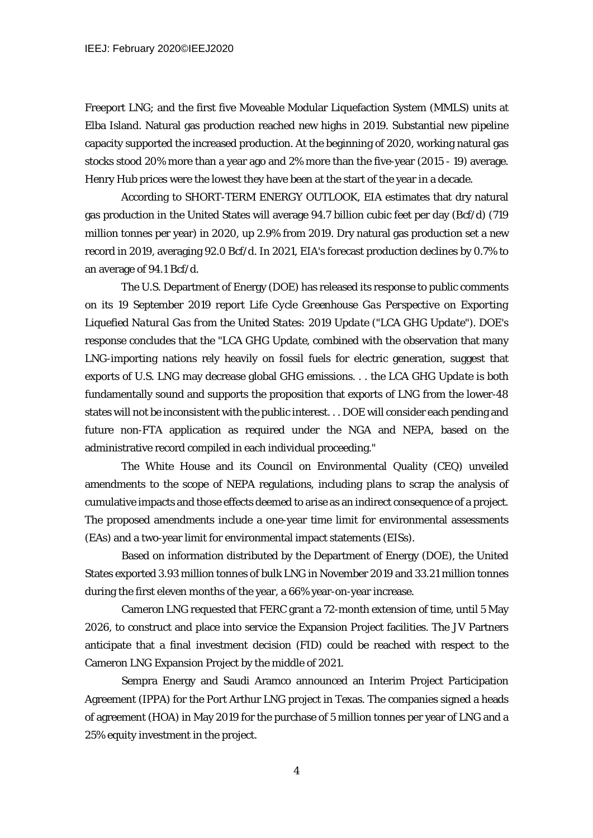Freeport LNG; and the first five Moveable Modular Liquefaction System (MMLS) units at Elba Island. Natural gas production reached new highs in 2019. Substantial new pipeline capacity supported the increased production. At the beginning of 2020, working natural gas stocks stood 20% more than a year ago and 2% more than the five-year (2015 - 19) average. Henry Hub prices were the lowest they have been at the start of the year in a decade.

According to SHORT-TERM ENERGY OUTLOOK, EIA estimates that dry natural gas production in the United States will average 94.7 billion cubic feet per day (Bcf/d) (719 million tonnes per year) in 2020, up 2.9% from 2019. Dry natural gas production set a new record in 2019, averaging 92.0 Bcf/d. In 2021, EIA's forecast production declines by 0.7% to an average of 94.1 Bcf/d.

The U.S. Department of Energy (DOE) has released its response to public comments on its 19 September 2019 report *Life Cycle Greenhouse Gas Perspective on Exporting Liquefied Natural Gas from the United States: 2019 Update ("LCA GHG Update")*. DOE's response concludes that the "*LCA GHG Update*, combined with the observation that many LNG-importing nations rely heavily on fossil fuels for electric generation, suggest that exports of U.S. LNG may decrease global GHG emissions. . . the *LCA GHG Update* is both fundamentally sound and supports the proposition that exports of LNG from the lower-48 states will not be inconsistent with the public interest. . . DOE will consider each pending and future non-FTA application as required under the NGA and NEPA, based on the administrative record compiled in each individual proceeding."

The White House and its Council on Environmental Quality (CEQ) unveiled amendments to the scope of NEPA regulations, including plans to scrap the analysis of cumulative impacts and those effects deemed to arise as an indirect consequence of a project. The proposed amendments include a one-year time limit for environmental assessments (EAs) and a two-year limit for environmental impact statements (EISs).

Based on information distributed by the Department of Energy (DOE), the United States exported 3.93 million tonnes of bulk LNG in November 2019 and 33.21 million tonnes during the first eleven months of the year, a 66% year-on-year increase.

Cameron LNG requested that FERC grant a 72-month extension of time, until 5 May 2026, to construct and place into service the Expansion Project facilities. The JV Partners anticipate that a final investment decision (FID) could be reached with respect to the Cameron LNG Expansion Project by the middle of 2021.

Sempra Energy and Saudi Aramco announced an Interim Project Participation Agreement (IPPA) for the Port Arthur LNG project in Texas. The companies signed a heads of agreement (HOA) in May 2019 for the purchase of 5 million tonnes per year of LNG and a 25% equity investment in the project.

4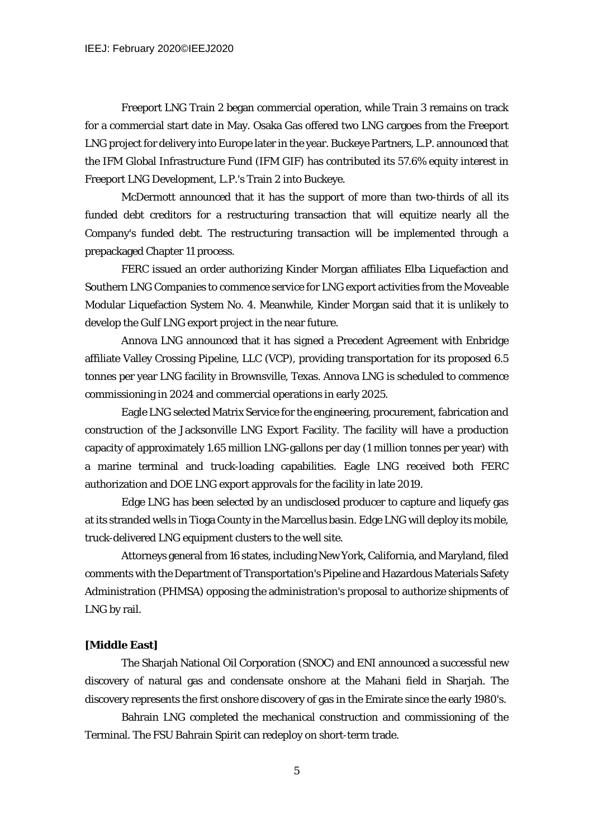Freeport LNG Train 2 began commercial operation, while Train 3 remains on track for a commercial start date in May. Osaka Gas offered two LNG cargoes from the Freeport LNG project for delivery into Europe later in the year. Buckeye Partners, L.P. announced that the IFM Global Infrastructure Fund (IFM GIF) has contributed its 57.6% equity interest in Freeport LNG Development, L.P.'s Train 2 into Buckeye.

McDermott announced that it has the support of more than two-thirds of all its funded debt creditors for a restructuring transaction that will equitize nearly all the Company's funded debt. The restructuring transaction will be implemented through a prepackaged Chapter 11 process.

FERC issued an order authorizing Kinder Morgan affiliates Elba Liquefaction and Southern LNG Companies to commence service for LNG export activities from the Moveable Modular Liquefaction System No. 4. Meanwhile, Kinder Morgan said that it is unlikely to develop the Gulf LNG export project in the near future.

Annova LNG announced that it has signed a Precedent Agreement with Enbridge affiliate Valley Crossing Pipeline, LLC (VCP), providing transportation for its proposed 6.5 tonnes per year LNG facility in Brownsville, Texas. Annova LNG is scheduled to commence commissioning in 2024 and commercial operations in early 2025.

Eagle LNG selected Matrix Service for the engineering, procurement, fabrication and construction of the Jacksonville LNG Export Facility. The facility will have a production capacity of approximately 1.65 million LNG-gallons per day (1 million tonnes per year) with a marine terminal and truck-loading capabilities. Eagle LNG received both FERC authorization and DOE LNG export approvals for the facility in late 2019.

Edge LNG has been selected by an undisclosed producer to capture and liquefy gas at its stranded wells in Tioga County in the Marcellus basin. Edge LNG will deploy its mobile, truck-delivered LNG equipment clusters to the well site.

Attorneys general from 16 states, including New York, California, and Maryland, filed comments with the Department of Transportation's Pipeline and Hazardous Materials Safety Administration (PHMSA) opposing the administration's proposal to authorize shipments of LNG by rail.

#### **[Middle East]**

The Sharjah National Oil Corporation (SNOC) and ENI announced a successful new discovery of natural gas and condensate onshore at the Mahani field in Sharjah. The discovery represents the first onshore discovery of gas in the Emirate since the early 1980's.

Bahrain LNG completed the mechanical construction and commissioning of the Terminal. The FSU Bahrain Spirit can redeploy on short-term trade.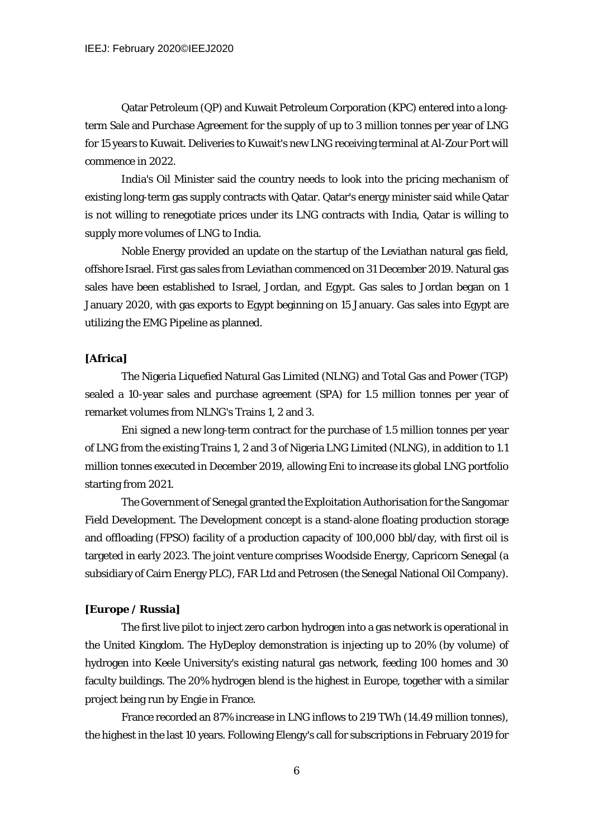Qatar Petroleum (QP) and Kuwait Petroleum Corporation (KPC) entered into a longterm Sale and Purchase Agreement for the supply of up to 3 million tonnes per year of LNG for 15 years to Kuwait. Deliveries to Kuwait's new LNG receiving terminal at Al-Zour Port will commence in 2022.

India's Oil Minister said the country needs to look into the pricing mechanism of existing long-term gas supply contracts with Qatar. Qatar's energy minister said while Qatar is not willing to renegotiate prices under its LNG contracts with India, Qatar is willing to supply more volumes of LNG to India.

Noble Energy provided an update on the startup of the Leviathan natural gas field, offshore Israel. First gas sales from Leviathan commenced on 31 December 2019. Natural gas sales have been established to Israel, Jordan, and Egypt. Gas sales to Jordan began on 1 January 2020, with gas exports to Egypt beginning on 15 January. Gas sales into Egypt are utilizing the EMG Pipeline as planned.

#### **[Africa]**

The Nigeria Liquefied Natural Gas Limited (NLNG) and Total Gas and Power (TGP) sealed a 10-year sales and purchase agreement (SPA) for 1.5 million tonnes per year of remarket volumes from NLNG's Trains 1, 2 and 3.

Eni signed a new long-term contract for the purchase of 1.5 million tonnes per year of LNG from the existing Trains 1, 2 and 3 of Nigeria LNG Limited (NLNG), in addition to 1.1 million tonnes executed in December 2019, allowing Eni to increase its global LNG portfolio starting from 2021.

The Government of Senegal granted the Exploitation Authorisation for the Sangomar Field Development. The Development concept is a stand-alone floating production storage and offloading (FPSO) facility of a production capacity of 100,000 bbl/day, with first oil is targeted in early 2023. The joint venture comprises Woodside Energy, Capricorn Senegal (a subsidiary of Cairn Energy PLC), FAR Ltd and Petrosen (the Senegal National Oil Company).

#### **[Europe / Russia]**

The first live pilot to inject zero carbon hydrogen into a gas network is operational in the United Kingdom. The HyDeploy demonstration is injecting up to 20% (by volume) of hydrogen into Keele University's existing natural gas network, feeding 100 homes and 30 faculty buildings. The 20% hydrogen blend is the highest in Europe, together with a similar project being run by Engie in France.

France recorded an 87% increase in LNG inflows to 219 TWh (14.49 million tonnes), the highest in the last 10 years. Following Elengy's call for subscriptions in February 2019 for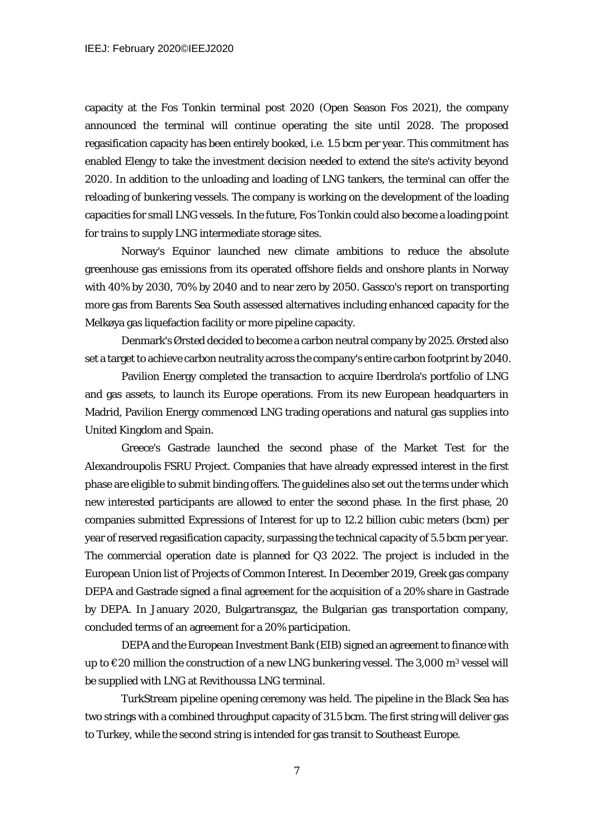capacity at the Fos Tonkin terminal post 2020 (Open Season Fos 2021), the company announced the terminal will continue operating the site until 2028. The proposed regasification capacity has been entirely booked, i.e. 1.5 bcm per year. This commitment has enabled Elengy to take the investment decision needed to extend the site's activity beyond 2020. In addition to the unloading and loading of LNG tankers, the terminal can offer the reloading of bunkering vessels. The company is working on the development of the loading capacities for small LNG vessels. In the future, Fos Tonkin could also become a loading point for trains to supply LNG intermediate storage sites.

Norway's Equinor launched new climate ambitions to reduce the absolute greenhouse gas emissions from its operated offshore fields and onshore plants in Norway with 40% by 2030, 70% by 2040 and to near zero by 2050. Gassco's report on transporting more gas from Barents Sea South assessed alternatives including enhanced capacity for the Melkøya gas liquefaction facility or more pipeline capacity.

Denmark's Ørsted decided to become a carbon neutral company by 2025. Ørsted also set a target to achieve carbon neutrality across the company's entire carbon footprint by 2040.

Pavilion Energy completed the transaction to acquire Iberdrola's portfolio of LNG and gas assets, to launch its Europe operations. From its new European headquarters in Madrid, Pavilion Energy commenced LNG trading operations and natural gas supplies into United Kingdom and Spain.

Greece's Gastrade launched the second phase of the Market Test for the Alexandroupolis FSRU Project. Companies that have already expressed interest in the first phase are eligible to submit binding offers. The guidelines also set out the terms under which new interested participants are allowed to enter the second phase. In the first phase, 20 companies submitted Expressions of Interest for up to 12.2 billion cubic meters (bcm) per year of reserved regasification capacity, surpassing the technical capacity of 5.5 bcm per year. The commercial operation date is planned for Q3 2022. The project is included in the European Union list of Projects of Common Interest. In December 2019, Greek gas company DEPA and Gastrade signed a final agreement for the acquisition of a 20% share in Gastrade by DEPA. In January 2020, Bulgartransgaz, the Bulgarian gas transportation company, concluded terms of an agreement for a 20% participation.

DEPA and the European Investment Bank (EIB) signed an agreement to finance with up to  $\epsilon$ 20 million the construction of a new LNG bunkering vessel. The 3,000 m<sup>3</sup> vessel will be supplied with LNG at Revithoussa LNG terminal.

TurkStream pipeline opening ceremony was held. The pipeline in the Black Sea has two strings with a combined throughput capacity of 31.5 bcm. The first string will deliver gas to Turkey, while the second string is intended for gas transit to Southeast Europe.

7